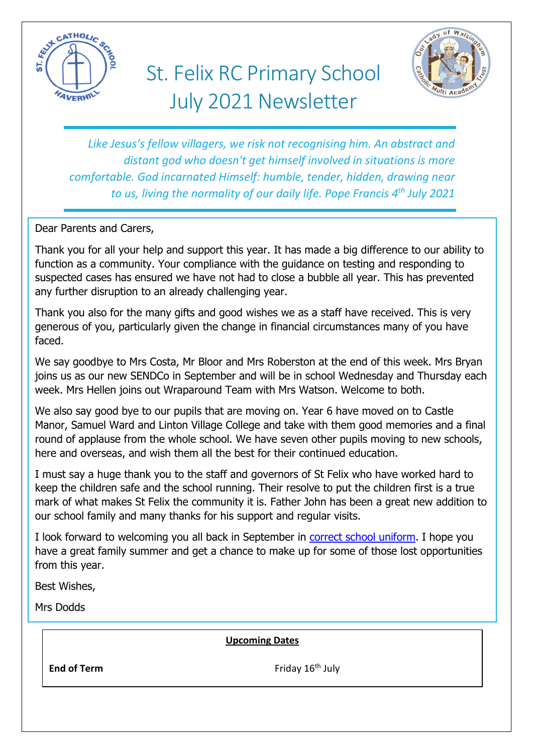

# St. Felix RC Primary School July 2021 Newsletter



*Like Jesus's fellow villagers, we risk not recognising him. An abstract and distant god who doesn't get himself involved in situations is more comfortable. God incarnated Himself: humble, tender, hidden, drawing near to us, living the normality of our daily life. Pope Francis 4 th July 2021*

Dear Parents and Carers,

Thank you for all your help and support this year. It has made a big difference to our ability to function as a community. Your compliance with the guidance on testing and responding to suspected cases has ensured we have not had to close a bubble all year. This has prevented any further disruption to an already challenging year.

Thank you also for the many gifts and good wishes we as a staff have received. This is very generous of you, particularly given the change in financial circumstances many of you have faced.

We say goodbye to Mrs Costa, Mr Bloor and Mrs Roberston at the end of this week. Mrs Bryan joins us as our new SENDCo in September and will be in school Wednesday and Thursday each week. Mrs Hellen joins out Wraparound Team with Mrs Watson. Welcome to both.

We also say good bye to our pupils that are moving on. Year 6 have moved on to Castle Manor, Samuel Ward and Linton Village College and take with them good memories and a final round of applause from the whole school. We have seven other pupils moving to new schools, here and overseas, and wish them all the best for their continued education.

I must say a huge thank you to the staff and governors of St Felix who have worked hard to keep the children safe and the school running. Their resolve to put the children first is a true mark of what makes St Felix the community it is. Father John has been a great new addition to our school family and many thanks for his support and regular visits.

I look forward to welcoming you all back in September in [correct school uniform.](https://www.stfelixhaverhill.com/parents/uniform) I hope you have a great family summer and get a chance to make up for some of those lost opportunities from this year.

Best Wishes,

Mrs Dodds

**Upcoming Dates**

**End of Term** Friday 16<sup>th</sup> July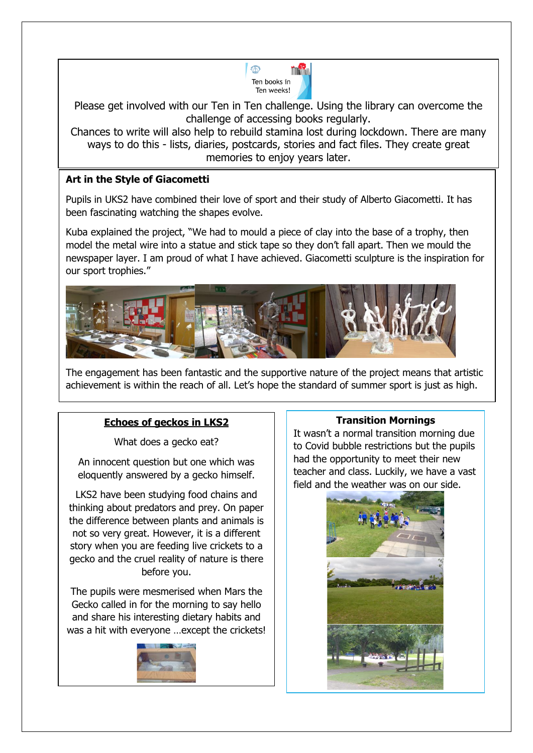

Please get involved with our Ten in Ten challenge. Using the library can overcome the challenge of accessing books regularly.

Chances to write will also help to rebuild stamina lost during lockdown. There are many ways to do this - lists, diaries, postcards, stories and fact files. They create great memories to enjoy years later.

### **Art in the Style of Giacometti**

Pupils in UKS2 have combined their love of sport and their study of Alberto Giacometti. It has been fascinating watching the shapes evolve.

Kuba explained the project, "We had to mould a piece of clay into the base of a trophy, then model the metal wire into a statue and stick tape so they don't fall apart. Then we mould the newspaper layer. I am proud of what I have achieved. Giacometti sculpture is the inspiration for our sport trophies."



The engagement has been fantastic and the supportive nature of the project means that artistic achievement is within the reach of all. Let's hope the standard of summer sport is just as high.

## **Echoes of geckos in LKS2**

What does a gecko eat?

An innocent question but one which was eloquently answered by a gecko himself.

LKS2 have been studying food chains and thinking about predators and prey. On paper the difference between plants and animals is not so very great. However, it is a different story when you are feeding live crickets to a gecko and the cruel reality of nature is there before you.

The pupils were mesmerised when Mars the Gecko called in for the morning to say hello and share his interesting dietary habits and was a hit with everyone …except the crickets!



#### **Transition Mornings**

It wasn't a normal transition morning due to Covid bubble restrictions but the pupils had the opportunity to meet their new teacher and class. Luckily, we have a vast field and the weather was on our side.

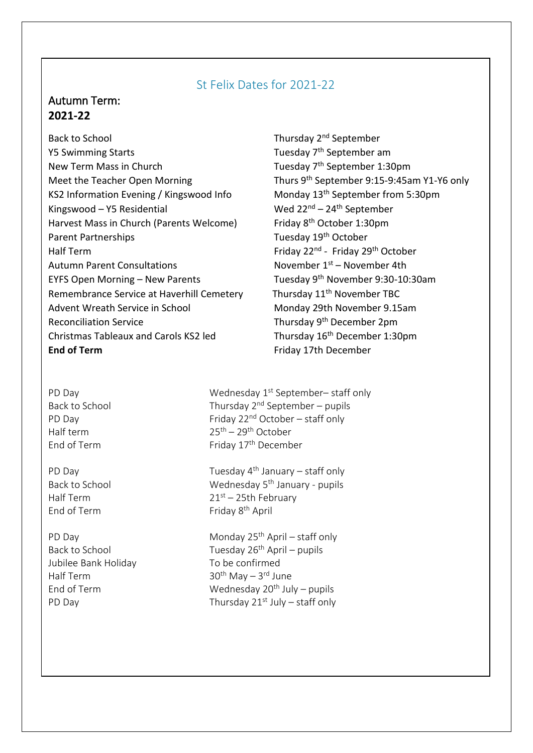# St Felix Dates for 2021-22

## Autumn Term: **2021-22**

Back to School and September 2nd September Y5 Swimming Starts Tuesday 7<sup>th</sup> September am New Term Mass in Church Tuesday 7<sup>th</sup> September 1:30pm Meet the Teacher Open Morning KS2 Information Evening / Kingswood Info Monday 13<sup>th</sup> September from 5:30pm Kingswood – Y5 Residential Wed 22<sup>nd</sup> – 24<sup>th</sup> September Harvest Mass in Church (Parents Welcome) Friday 8<sup>th</sup> October 1:30pm Parent Partnerships Tuesday 19<sup>th</sup> October Half Term **Friday 22<sup>nd</sup>** - Friday 29<sup>th</sup> October Autumn Parent Consultations November 1<sup>st</sup> – November 4th EYFS Open Morning – New Parents Tuesday 9th November 9:30-10:30am Remembrance Service at Haverhill Cemetery Thursday 11<sup>th</sup> November TBC Advent Wreath Service in School Monday 29th November 9.15am Reconciliation Service Thursday 9<sup>th</sup> December 2pm Christmas Tableaux and Carols KS2 led Thursday 16<sup>th</sup> December 1:30pm **End of Term** Friday 17th December

End of Term

Jubilee Bank Holiday To be confirmed Half Term 30<sup>th</sup> May – 3<sup>rd</sup> June

Thurs 9<sup>th</sup> September 9:15-9:45am Y1-Y6 only

PD Day **EXECUTE:** Mednesday 1<sup>st</sup> September– staff only Back to School  $\qquad \qquad$  Thursday  $2^{nd}$  September – pupils PD Day Friday 22<sup>nd</sup> October – staff only Half term 25<sup>th</sup> – 29<sup>th</sup> October End of Term Friday  $17<sup>th</sup>$  December

PD Day **Tuesday 4<sup>th</sup> January** – staff only Back to School Wednesday 5<sup>th</sup> January - pupils Half Term 21st – 25th February Friday 8<sup>th</sup> April

PD Day Monday 25<sup>th</sup> April – staff only Back to School Tuesday 26<sup>th</sup> April – pupils End of Term  $W$ ednesday  $20<sup>th</sup>$  July – pupils PD Day Thursday 21<sup>st</sup> July – staff only